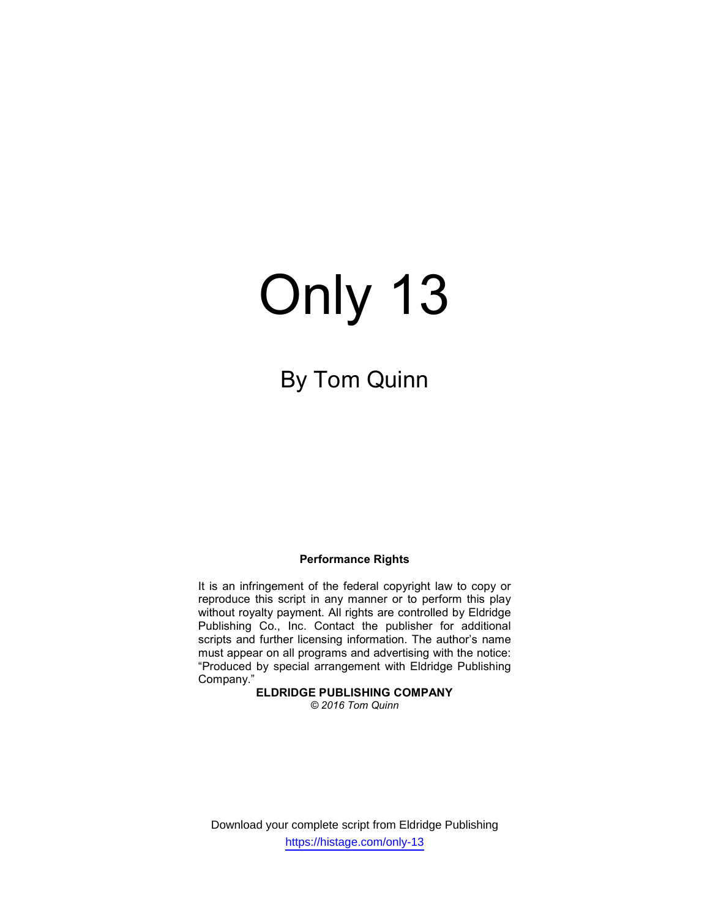# Only 13

# By Tom Quinn

#### Performance Rights

It is an infringement of the federal copyright law to copy or reproduce this script in any manner or to perform this play without royalty payment. All rights are controlled by Eldridge Publishing Co., Inc. Contact the publisher for additional scripts and further licensing information. The author's name must appear on all programs and advertising with the notice: "Produced by special arrangement with Eldridge Publishing Company."

#### ELDRIDGE PUBLISHING COMPANY

© 2016 Tom Quinn

Download your complete script from Eldridge Publishing https://histage.com/only-13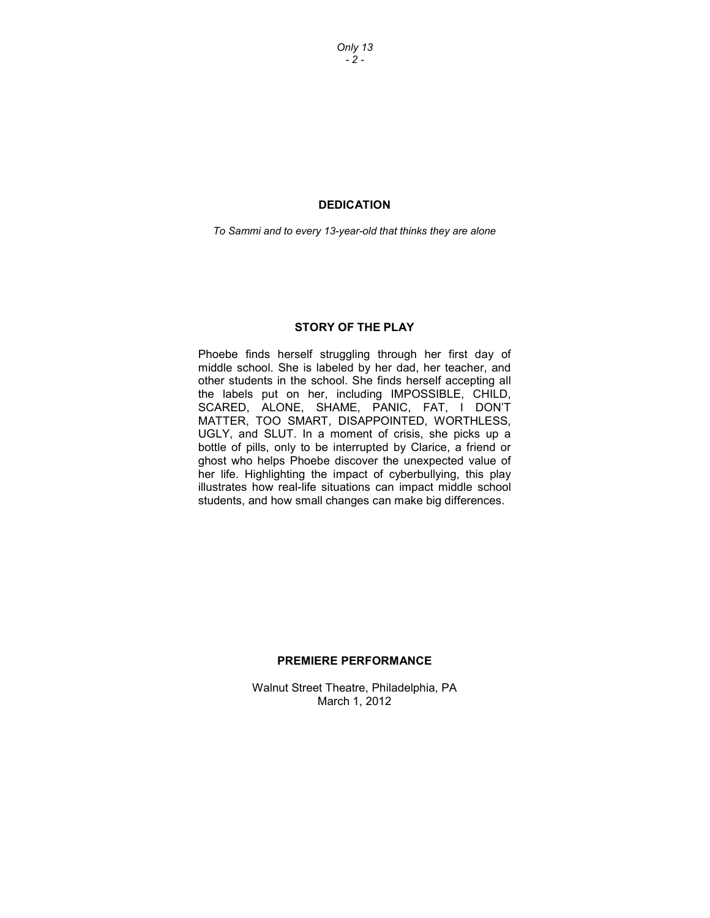Only 13  $-2 -$ 

#### DEDICATION

To Sammi and to every 13-year-old that thinks they are alone

#### STORY OF THE PLAY

Phoebe finds herself struggling through her first day of middle school. She is labeled by her dad, her teacher, and other students in the school. She finds herself accepting all the labels put on her, including IMPOSSIBLE, CHILD, SCARED, ALONE, SHAME, PANIC, FAT, I DON'T MATTER, TOO SMART, DISAPPOINTED, WORTHLESS, UGLY, and SLUT. In a moment of crisis, she picks up a bottle of pills, only to be interrupted by Clarice, a friend or ghost who helps Phoebe discover the unexpected value of her life. Highlighting the impact of cyberbullying, this play illustrates how real-life situations can impact middle school students, and how small changes can make big differences.

#### PREMIERE PERFORMANCE

Walnut Street Theatre, Philadelphia, PA March 1, 2012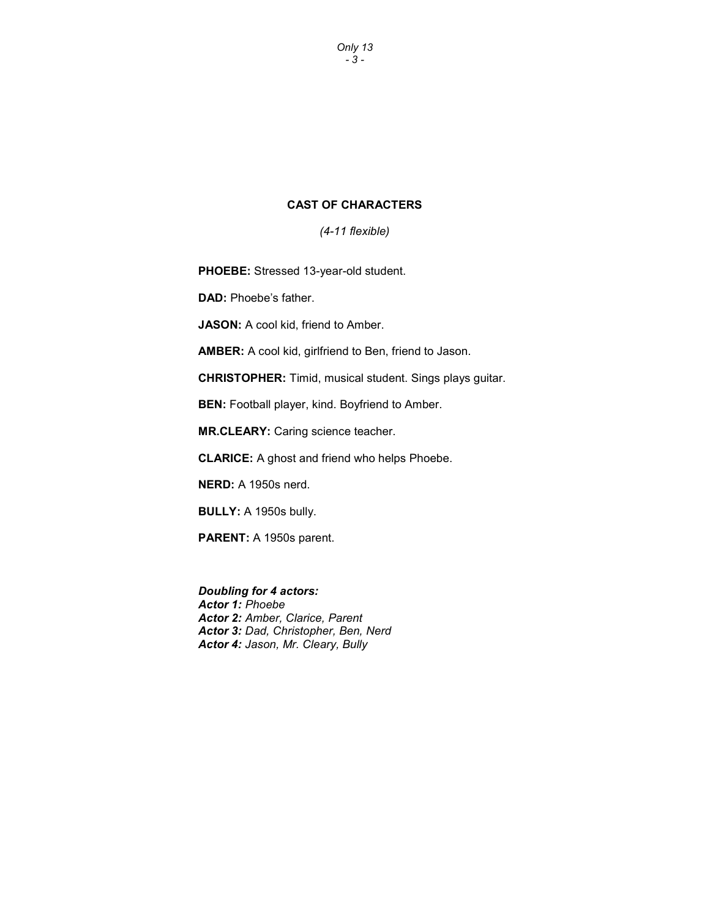Only 13 - 3 -

### CAST OF CHARACTERS

(4-11 flexible)

PHOEBE: Stressed 13-year-old student.

DAD: Phoebe's father.

JASON: A cool kid, friend to Amber.

AMBER: A cool kid, girlfriend to Ben, friend to Jason.

CHRISTOPHER: Timid, musical student. Sings plays guitar.

BEN: Football player, kind. Boyfriend to Amber.

MR.CLEARY: Caring science teacher.

CLARICE: A ghost and friend who helps Phoebe.

NERD: A 1950s nerd.

BULLY: A 1950s bully.

PARENT: A 1950s parent.

Doubling for 4 actors: Actor 1: Phoebe Actor 2: Amber, Clarice, Parent Actor 3: Dad, Christopher, Ben, Nerd Actor 4: Jason, Mr. Cleary, Bully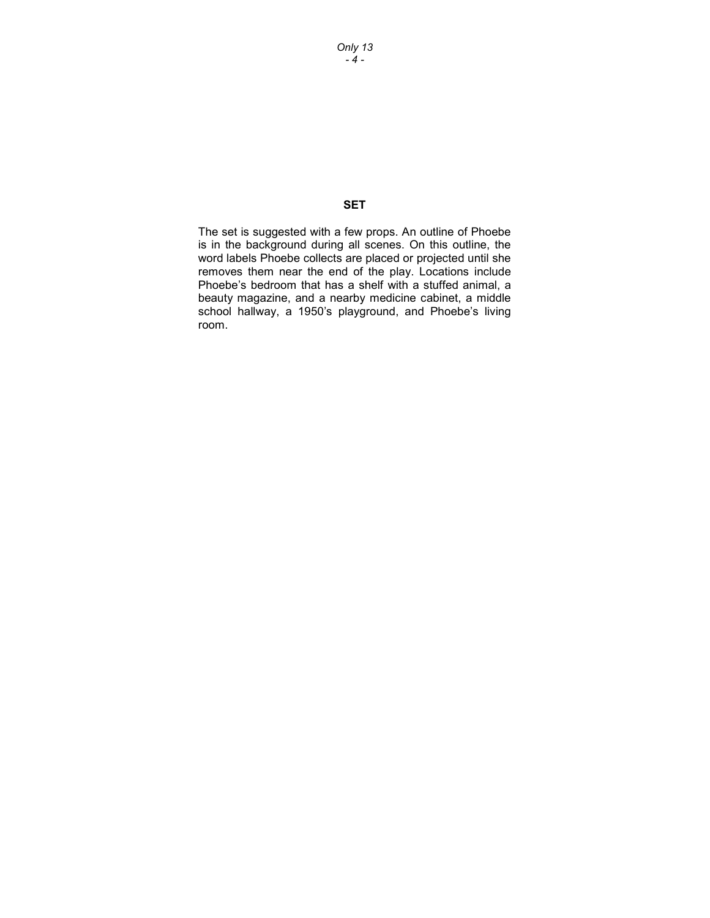Only 13  $-4 -$ 

# **SET**

The set is suggested with a few props. An outline of Phoebe is in the background during all scenes. On this outline, the word labels Phoebe collects are placed or projected until she removes them near the end of the play. Locations include Phoebe's bedroom that has a shelf with a stuffed animal, a beauty magazine, and a nearby medicine cabinet, a middle school hallway, a 1950's playground, and Phoebe's living room.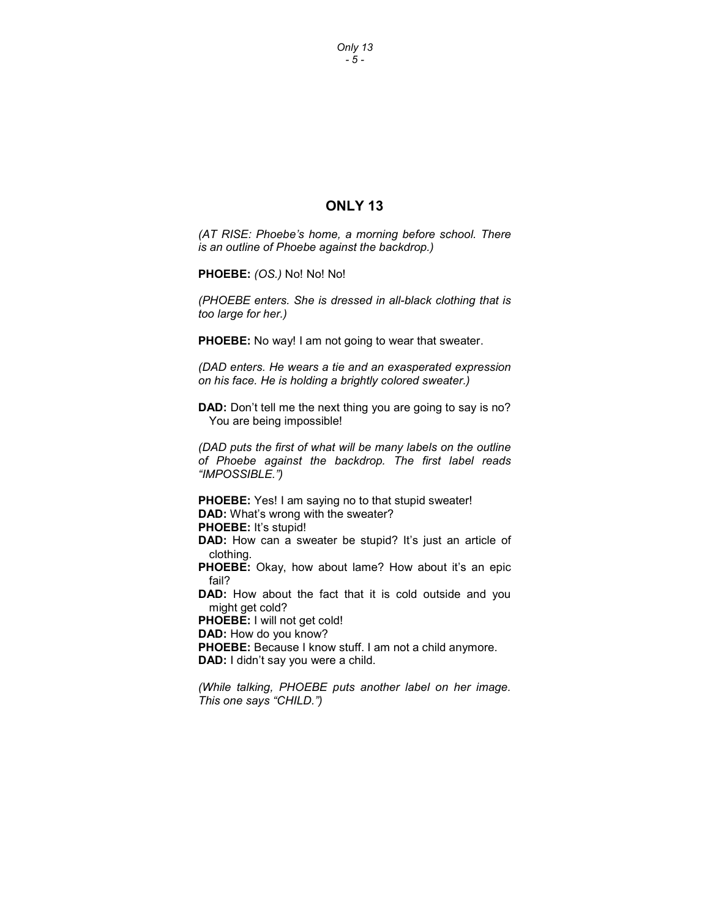Only 13 - 5 -

# ONLY 13

(AT RISE: Phoebe's home, a morning before school. There is an outline of Phoebe against the backdrop.)

PHOEBE: (OS.) No! No! No!

(PHOEBE enters. She is dressed in all-black clothing that is too large for her.)

PHOEBE: No way! I am not going to wear that sweater.

(DAD enters. He wears a tie and an exasperated expression on his face. He is holding a brightly colored sweater.)

DAD: Don't tell me the next thing you are going to say is no? You are being impossible!

(DAD puts the first of what will be many labels on the outline of Phoebe against the backdrop. The first label reads "IMPOSSIBLE.")

PHOEBE: Yes! I am saying no to that stupid sweater! DAD: What's wrong with the sweater? PHOEBE: It's stupid!

DAD: How can a sweater be stupid? It's just an article of clothing.

PHOEBE: Okay, how about lame? How about it's an epic fail?

DAD: How about the fact that it is cold outside and you might get cold?

PHOEBE: I will not get cold!

DAD: How do you know?

PHOEBE: Because I know stuff. I am not a child anymore. DAD: I didn't say you were a child.

(While talking, PHOEBE puts another label on her image. This one says "CHILD.")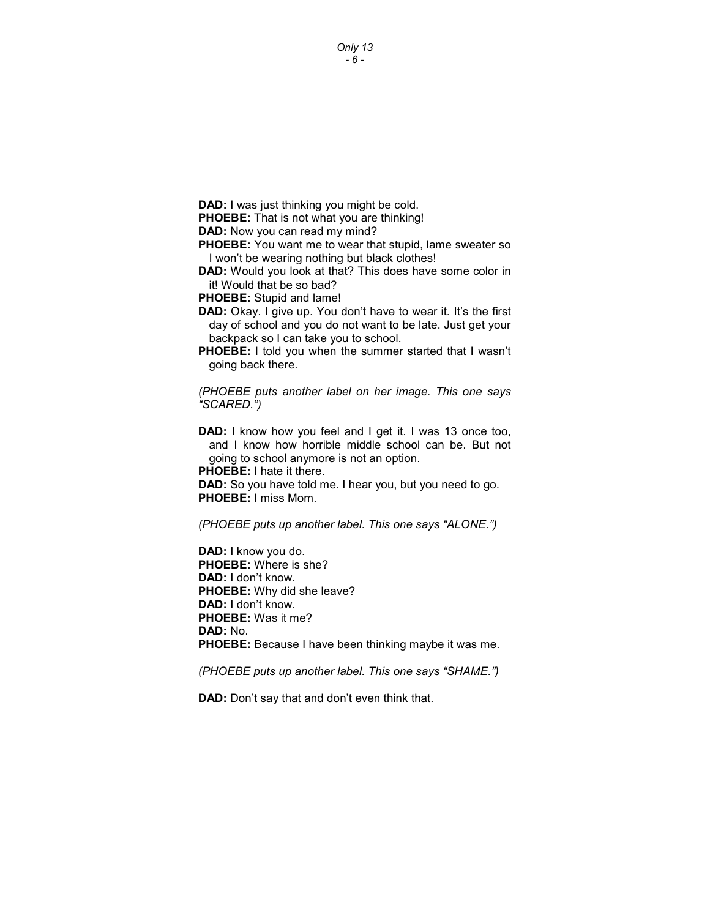Only 13 - 6 -

DAD: I was just thinking you might be cold.

PHOEBE: That is not what you are thinking!

DAD: Now you can read my mind?

**PHOEBE:** You want me to wear that stupid, lame sweater so I won't be wearing nothing but black clothes!

DAD: Would you look at that? This does have some color in it! Would that be so bad?

PHOEBE: Stupid and lame!

- DAD: Okay. I give up. You don't have to wear it. It's the first day of school and you do not want to be late. Just get your backpack so I can take you to school.
- **PHOEBE:** I told you when the summer started that I wasn't going back there.

(PHOEBE puts another label on her image. This one says "SCARED.")

DAD: I know how you feel and I get it. I was 13 once too, and I know how horrible middle school can be. But not going to school anymore is not an option.

PHOEBE: I hate it there.

DAD: So you have told me. I hear you, but you need to go. PHOEBE: I miss Mom.

(PHOEBE puts up another label. This one says "ALONE.")

DAD: I know you do. PHOEBE: Where is she? DAD: I don't know. PHOEBE: Why did she leave? DAD: I don't know. PHOEBE: Was it me? DAD: No. PHOEBE: Because I have been thinking maybe it was me.

(PHOEBE puts up another label. This one says "SHAME.")

DAD: Don't say that and don't even think that.